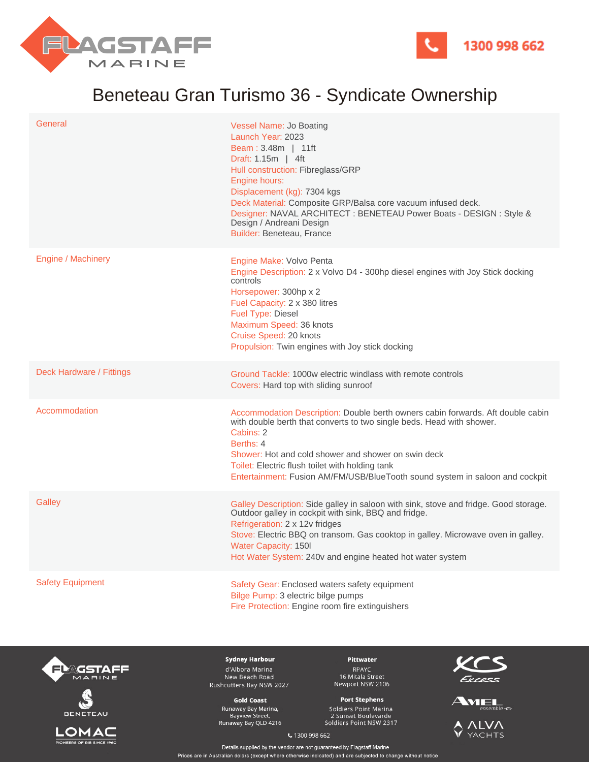



## Beneteau Gran Turismo 36 - Syndicate Ownership

| General                  | Vessel Name: Jo Boating<br>Launch Year: 2023<br>Beam: 3.48m   11ft<br>Draft: 1.15m   4ft<br>Hull construction: Fibreglass/GRP<br>Engine hours:<br>Displacement (kg): 7304 kgs<br>Deck Material: Composite GRP/Balsa core vacuum infused deck.<br>Designer: NAVAL ARCHITECT : BENETEAU Power Boats - DESIGN : Style &<br>Design / Andreani Design<br>Builder: Beneteau, France |
|--------------------------|-------------------------------------------------------------------------------------------------------------------------------------------------------------------------------------------------------------------------------------------------------------------------------------------------------------------------------------------------------------------------------|
| Engine / Machinery       | Engine Make: Volvo Penta<br>Engine Description: 2 x Volvo D4 - 300hp diesel engines with Joy Stick docking<br>controls<br>Horsepower: 300hp x 2<br>Fuel Capacity: 2 x 380 litres<br><b>Fuel Type: Diesel</b><br>Maximum Speed: 36 knots<br>Cruise Speed: 20 knots<br>Propulsion: Twin engines with Joy stick docking                                                          |
| Deck Hardware / Fittings | Ground Tackle: 1000w electric windlass with remote controls<br>Covers: Hard top with sliding sunroof                                                                                                                                                                                                                                                                          |
| Accommodation            | Accommodation Description: Double berth owners cabin forwards. Aft double cabin<br>with double berth that converts to two single beds. Head with shower.<br>Cabins: 2<br>Berths: 4<br>Shower: Hot and cold shower and shower on swin deck<br>Toilet: Electric flush toilet with holding tank<br>Entertainment: Fusion AM/FM/USB/BlueTooth sound system in saloon and cockpit  |
| Galley                   | Galley Description: Side galley in saloon with sink, stove and fridge. Good storage.<br>Outdoor galley in cockpit with sink, BBQ and fridge.<br>Refrigeration: 2 x 12v fridges<br>Stove: Electric BBQ on transom. Gas cooktop in galley. Microwave oven in galley.<br><b>Water Capacity: 150I</b><br>Hot Water System: 240v and engine heated hot water system                |
| <b>Safety Equipment</b>  | Safety Gear: Enclosed waters safety equipment<br>Bilge Pump: 3 electric bilge pumps<br>Fire Protection: Engine room fire extinguishers                                                                                                                                                                                                                                        |





ONEERS OF RIB SINCE 19

**Sydney Harbour** d'Albora Marina New Beach Road Rushcutters Bay NSW 2027

**Gold Coast** Runaway Bay Marina,<br>Bayview Street,<br>Runaway Bay QLD 4216

Pittwater RPAYC<br>16 Mitala Street<br>Newport NSW 2106

## **Port Stephens** Soldiers Point Marina

2 Sunset Boulevarde<br>Soldiers Point NSW 2317







€ 1300 998 662

Details supplied by the vendor are not guaranteed by Flagstaff Marine Prices are in Australian dolars (except where otherwise indicated) and are subjected to change without notice